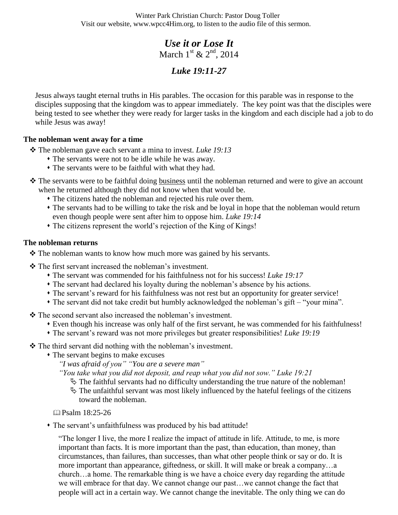Winter Park Christian Church: Pastor Doug Toller Visit our website, www.wpcc4Him.org, to listen to the audio file of this sermon.

# *Use it or Lose It* March  $1^{\text{st}}$  &  $2^{\text{nd}}$ , 2014

# *Luke 19:11-27*

Jesus always taught eternal truths in His parables. The occasion for this parable was in response to the disciples supposing that the kingdom was to appear immediately. The key point was that the disciples were being tested to see whether they were ready for larger tasks in the kingdom and each disciple had a job to do while Jesus was away!

## **The nobleman went away for a time**

The nobleman gave each servant a mina to invest. *Luke 19:13*

- The servants were not to be idle while he was away.
- The servants were to be faithful with what they had.
- \* The servants were to be faithful doing business until the nobleman returned and were to give an account when he returned although they did not know when that would be.
	- The citizens hated the nobleman and rejected his rule over them.
	- The servants had to be willing to take the risk and be loyal in hope that the nobleman would return even though people were sent after him to oppose him. *Luke 19:14*
	- The citizens represent the world's rejection of the King of Kings!

### **The nobleman returns**

The nobleman wants to know how much more was gained by his servants.

The first servant increased the nobleman's investment.

- The servant was commended for his faithfulness not for his success! *Luke 19:17*
- The servant had declared his loyalty during the nobleman's absence by his actions.
- The servant's reward for his faithfulness was not rest but an opportunity for greater service!
- The servant did not take credit but humbly acknowledged the nobleman's gift "your mina".

The second servant also increased the nobleman's investment.

- Even though his increase was only half of the first servant, he was commended for his faithfulness!
- The servant's reward was not more privileges but greater responsibilities! *Luke 19:19*

• The third servant did nothing with the nobleman's investment.

The servant begins to make excuses

*"I was afraid of you" "You are a severe man"*

*"You take what you did not deposit, and reap what you did not sow." Luke 19:21*

 $\&$  The faithful servants had no difficulty understanding the true nature of the nobleman!

 $\ddot{\phi}$  The unfaithful servant was most likely influenced by the hateful feelings of the citizens toward the nobleman.

 $\boxplus$  Psalm 18:25-26

The servant's unfaithfulness was produced by his bad attitude!

"The longer I live, the more I realize the impact of attitude in life. Attitude, to me, is more important than facts. It is more important than the past, than education, than money, than circumstances, than failures, than successes, than what other people think or say or do. It is more important than appearance, giftedness, or skill. It will make or break a company…a church…a home. The remarkable thing is we have a choice every day regarding the attitude we will embrace for that day. We cannot change our past…we cannot change the fact that people will act in a certain way. We cannot change the inevitable. The only thing we can do